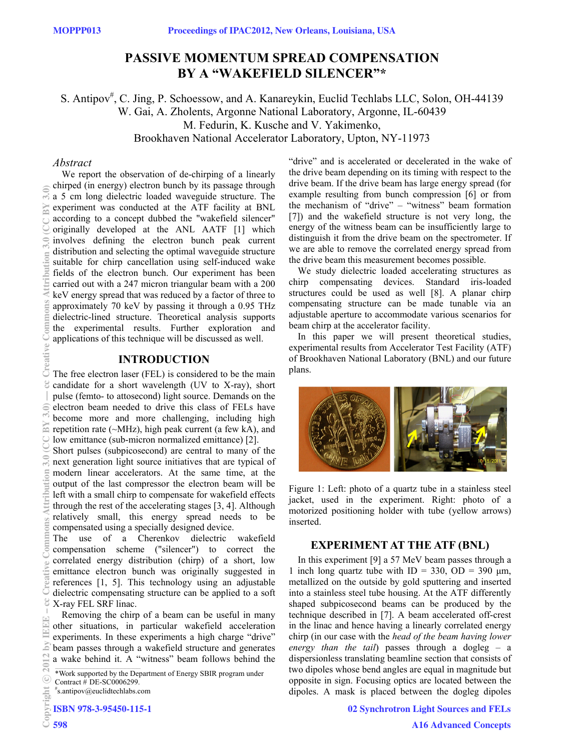# **PASSIVE MOMENTUM SPREAD COMPENSATION BY A "WAKEFIELD SILENCER"\***

S. Antipov<sup>#</sup>, C. Jing, P. Schoessow, and A. Kanareykin, Euclid Techlabs LLC, Solon, OH-44139 W. Gai, A. Zholents, Argonne National Laboratory, Argonne, IL-60439 M. Fedurin, K. Kusche and V. Yakimenko, Brookhaven National Accelerator Laboratory, Upton, NY-11973

## *Abstract*

BY

ion

We report the observation of de-chirping of a linearly chirped (in energy) electron bunch by its passage through a 5 cm long dielectric loaded waveguide structure. The experiment was conducted at the ATF facility at BNL according to a concept dubbed the "wakefield silencer" originally developed at the ANL AATF [1] which involves defining the electron bunch peak current distribution and selecting the optimal waveguide structure suitable for chirp cancellation using self-induced wake fields of the electron bunch. Our experiment has been carried out with a 247 micron triangular beam with a 200 keV energy spread that was reduced by a factor of three to approximately 70 keV by passing it through a 0.95 THz dielectric-lined structure. Theoretical analysis supports the experimental results. Further exploration and applications of this technique will be discussed as well.

## **INTRODUCTION**

The free electron laser (FEL) is considered to be the main candidate for a short wavelength (UV to X-ray), short pulse (femto- to attosecond) light source. Demands on the electron beam needed to drive this class of FELs have become more and more challenging, including high repetition rate (~MHz), high peak current (a few kA), and low emittance (sub-micron normalized emittance) [2].

Short pulses (subpicosecond) are central to many of the next generation light source initiatives that are typical of modern linear accelerators. At the same time, at the output of the last compressor the electron beam will be left with a small chirp to compensate for wakefield effects through the rest of the accelerating stages [3, 4]. Although relatively small, this energy spread needs to be compensated using a specially designed device.

The use of a Cherenkov dielectric wakefield compensation scheme ("silencer") to correct the correlated energy distribution (chirp) of a short, low emittance electron bunch was originally suggested in references [1, 5]. This technology using an adjustable dielectric compensating structure can be applied to a soft X-ray FEL SRF linac.

Removing the chirp of a beam can be useful in many other situations, in particular wakefield acceleration experiments. In these experiments a high charge "drive" beam passes through a wakefield structure and generates a wake behind it. A "witness" beam follows behind the

\*Work supported by the Department of Energy SBIR program under Contract # DE-SC0006299.

s.antipov@euclidtechlabs.com

ISBN 978-3-95450-115-1

 2012 by IEEE – cc Creative Commons Attribution 3.0 (CC BY 3.0) — cc Creative Commons Attribution 3.0 (CC BY 3.0) prommons Creative S E E ommons S bv

"drive" and is accelerated or decelerated in the wake of the drive beam depending on its timing with respect to the drive beam. If the drive beam has large energy spread (for example resulting from bunch compression [6] or from the mechanism of "drive" – "witness" beam formation [7]) and the wakefield structure is not very long, the energy of the witness beam can be insufficiently large to distinguish it from the drive beam on the spectrometer. If we are able to remove the correlated energy spread from the drive beam this measurement becomes possible.

We study dielectric loaded accelerating structures as chirp compensating devices. Standard iris-loaded structures could be used as well [8]. A planar chirp compensating structure can be made tunable via an adjustable aperture to accommodate various scenarios for beam chirp at the accelerator facility.

In this paper we will present theoretical studies, experimental results from Accelerator Test Facility (ATF) of Brookhaven National Laboratory (BNL) and our future plans.



Figure 1: Left: photo of a quartz tube in a stainless steel jacket, used in the experiment. Right: photo of a motorized positioning holder with tube (yellow arrows) inserted.

## **EXPERIMENT AT THE ATF (BNL)**

In this experiment [9] a 57 MeV beam passes through a 1 inch long quartz tube with  $ID = 330$ ,  $OD = 390 \mu m$ , metallized on the outside by gold sputtering and inserted into a stainless steel tube housing. At the ATF differently shaped subpicosecond beams can be produced by the technique described in [7]. A beam accelerated off-crest in the linac and hence having a linearly correlated energy chirp (in our case with the *head of the beam having lower energy than the tail*) passes through a dogleg – a dispersionless translating beamline section that consists of two dipoles whose bend angles are equal in magnitude but opposite in sign. Focusing optics are located between the dipoles. A mask is placed between the dogleg dipoles

02 Synchrotron Light Sources and FELs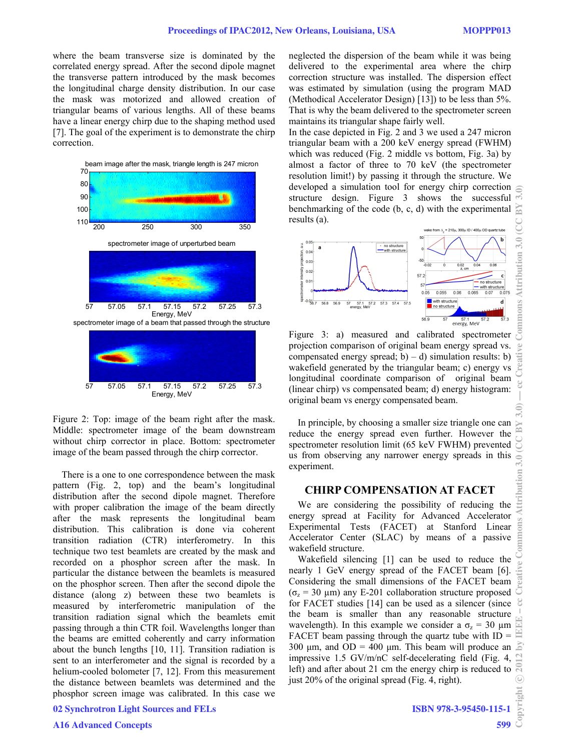where the beam transverse size is dominated by the correlated energy spread. After the second dipole magnet the transverse pattern introduced by the mask becomes the longitudinal charge density distribution. In our case the mask was motorized and allowed creation of triangular beams of various lengths. All of these beams have a linear energy chirp due to the shaping method used [7]. The goal of the experiment is to demonstrate the chirp correction.



Figure 2: Top: image of the beam right after the mask. Middle: spectrometer image of the beam downstream without chirp corrector in place. Bottom: spectrometer image of the beam passed through the chirp corrector.

There is a one to one correspondence between the mask pattern (Fig. 2, top) and the beam's longitudinal distribution after the second dipole magnet. Therefore with proper calibration the image of the beam directly after the mask represents the longitudinal beam distribution. This calibration is done via coherent transition radiation (CTR) interferometry. In this technique two test beamlets are created by the mask and recorded on a phosphor screen after the mask. In particular the distance between the beamlets is measured on the phosphor screen. Then after the second dipole the distance (along z) between these two beamlets is measured by interferometric manipulation of the transition radiation signal which the beamlets emit passing through a thin CTR foil. Wavelengths longer than the beams are emitted coherently and carry information about the bunch lengths [10, 11]. Transition radiation is sent to an interferometer and the signal is recorded by a helium-cooled bolometer [7, 12]. From this measurement the distance between beamlets was determined and the phosphor screen image was calibrated. In this case we neglected the dispersion of the beam while it was being delivered to the experimental area where the chirp correction structure was installed. The dispersion effect was estimated by simulation (using the program MAD (Methodical Accelerator Design) [13]) to be less than 5%. That is why the beam delivered to the spectrometer screen maintains its triangular shape fairly well.

In the case depicted in Fig. 2 and 3 we used a 247 micron triangular beam with a 200 keV energy spread (FWHM) which was reduced (Fig. 2 middle vs bottom, Fig. 3a) by almost a factor of three to 70 keV (the spectrometer resolution limit!) by passing it through the structure. We developed a simulation tool for energy chirp correction structure design. Figure 3 shows the successful benchmarking of the code (b, c, d) with the experimental results (a).



Figure 3: a) measured and calibrated spectrometer projection comparison of original beam energy spread vs. compensated energy spread; b) – d) simulation results: b) wakefield generated by the triangular beam; c) energy vs longitudinal coordinate comparison of original beam (linear chirp) vs compensated beam; d) energy histogram: original beam vs energy compensated beam.

In principle, by choosing a smaller size triangle one can reduce the energy spread even further. However the spectrometer resolution limit (65 keV FWHM) prevented us from observing any narrower energy spreads in this experiment.

#### **CHIRP COMPENSATION AT FACET**

We are considering the possibility of reducing the energy spread at Facility for Advanced Accelerator Experimental Tests (FACET) at Stanford Linear Accelerator Center (SLAC) by means of a passive wakefield structure.

Wakefield silencing [1] can be used to reduce the nearly 1 GeV energy spread of the FACET beam [6]. Considering the small dimensions of the FACET beam  $(σ<sub>z</sub> = 30 μm)$  any E-201 collaboration structure proposed for FACET studies [14] can be used as a silencer (since the beam is smaller than any reasonable structure wavelength). In this example we consider a  $\sigma_z = 30 \mu m$ FACET beam passing through the quartz tube with  $ID =$ 300 μm, and  $OD = 400$  μm. This beam will produce an impressive 1.5 GV/m/nC self-decelerating field (Fig. 4, left) and after about 21 cm the energy chirp is reduced to just 20% of the original spread (Fig. 4, right).

02 Synchrotron Light Sources and FELs

ISBN 978-3-95450-115-1